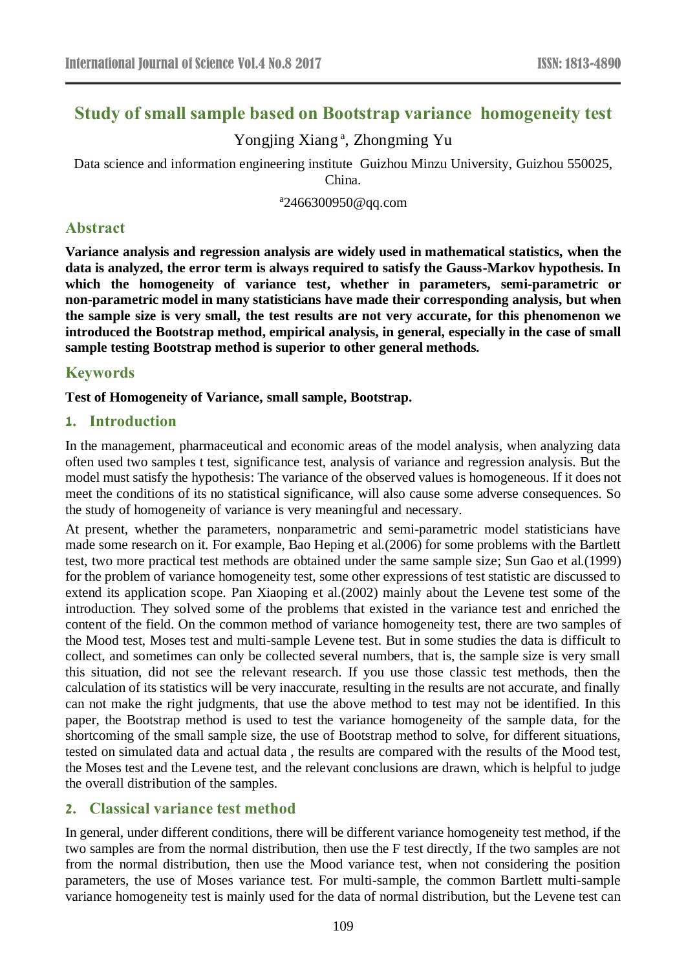# **Study of small sample based on Bootstrap variance homogeneity test**

Yongjing Xiang<sup>a</sup>, Zhongming Yu

Data science and information engineering institute Guizhou Minzu University, Guizhou 550025, China.

a 2466300950@qq.com

### **Abstract**

**Variance analysis and regression analysis are widely used in mathematical statistics, when the data is analyzed, the error term is always required to satisfy the Gauss-Markov hypothesis. In which the homogeneity of variance test, whether in parameters, semi-parametric or non-parametric model in many statisticians have made their corresponding analysis, but when the sample size is very small, the test results are not very accurate, for this phenomenon we introduced the Bootstrap method, empirical analysis, in general, especially in the case of small sample testing Bootstrap method is superior to other general methods.**

## **Keywords**

**Test of Homogeneity of Variance, small sample, Bootstrap.** 

### **1. Introduction**

In the management, pharmaceutical and economic areas of the model analysis, when analyzing data often used two samples t test, significance test, analysis of variance and regression analysis. But the model must satisfy the hypothesis: The variance of the observed values is homogeneous. If it does not meet the conditions of its no statistical significance, will also cause some adverse consequences. So the study of homogeneity of variance is very meaningful and necessary.

At present, whether the parameters, nonparametric and semi-parametric model statisticians have made some research on it. For example, Bao Heping et al.(2006) for some problems with the Bartlett test, two more practical test methods are obtained under the same sample size; Sun Gao et al.(1999) for the problem of variance homogeneity test, some other expressions of test statistic are discussed to extend its application scope. Pan Xiaoping et al.(2002) mainly about the Levene test some of the introduction. They solved some of the problems that existed in the variance test and enriched the content of the field. On the common method of variance homogeneity test, there are two samples of the Mood test, Moses test and multi-sample Levene test. But in some studies the data is difficult to collect, and sometimes can only be collected several numbers, that is, the sample size is very small this situation, did not see the relevant research. If you use those classic test methods, then the calculation of its statistics will be very inaccurate, resulting in the results are not accurate, and finally can not make the right judgments, that use the above method to test may not be identified. In this paper, the Bootstrap method is used to test the variance homogeneity of the sample data, for the shortcoming of the small sample size, the use of Bootstrap method to solve, for different situations, tested on simulated data and actual data , the results are compared with the results of the Mood test, the Moses test and the Levene test, and the relevant conclusions are drawn, which is helpful to judge the overall distribution of the samples.

### **2. Classical variance test method**

In general, under different conditions, there will be different variance homogeneity test method, if the two samples are from the normal distribution, then use the F test directly, If the two samples are not from the normal distribution, then use the Mood variance test, when not considering the position parameters, the use of Moses variance test. For multi-sample, the common Bartlett multi-sample variance homogeneity test is mainly used for the data of normal distribution, but the Levene test can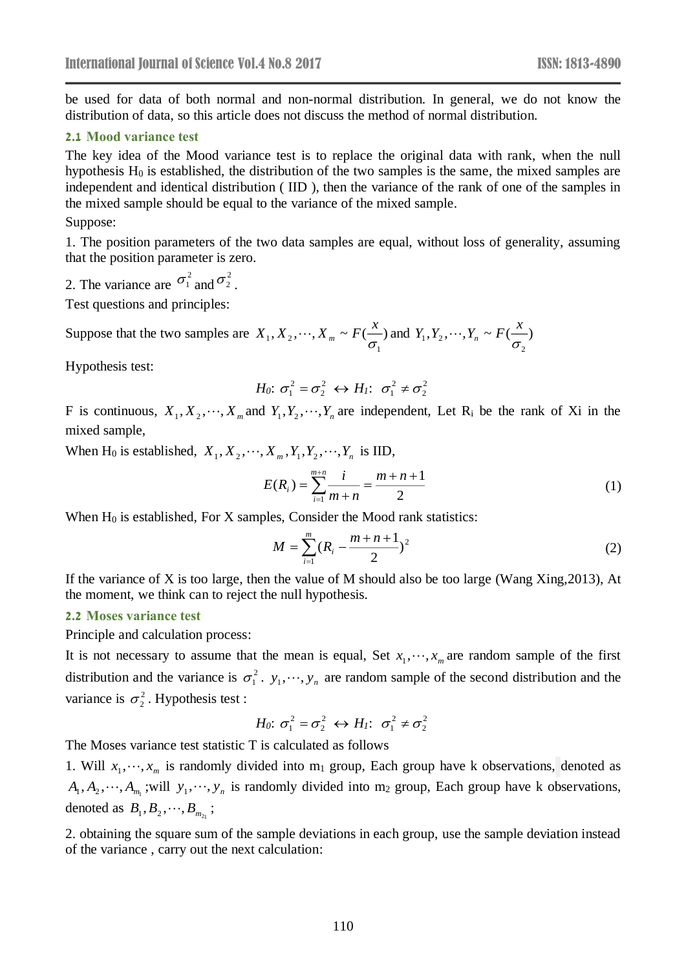be used for data of both normal and non-normal distribution. In general, we do not know the distribution of data, so this article does not discuss the method of normal distribution.

### **2.1 Mood variance test**

The key idea of the Mood variance test is to replace the original data with rank, when the null hypothesis  $H_0$  is established, the distribution of the two samples is the same, the mixed samples are independent and identical distribution ( IID ), then the variance of the rank of one of the samples in the mixed sample should be equal to the variance of the mixed sample.

Suppose:

1. The position parameters of the two data samples are equal, without loss of generality, assuming that the position parameter is zero.

2. The variance are  $\sigma_1^2$  and  $\sigma_2^2$ .

Test questions and principles:

Suppose that the two samples are  $X_1, X_2, \dots, X_m \sim F(\frac{X_1}{\sigma})$ 1  $1, \dots, 2, \dots, n$  $X_1, X_2, \dots, X_m \sim F(\frac{x}{n})$  and  $Y_1, Y_2, \dots, Y_n \sim F(\frac{x}{n})$ 2  $1, 2, \ldots, 4, 1, 1$  $Y_1, Y_2, \cdots, Y_n \sim F(\frac{X}{n})$ 

Hypothesis test:

$$
H_0: \sigma_1^2 = \sigma_2^2 \leftrightarrow H_1: \sigma_1^2 \neq \sigma_2^2
$$

F is continuous,  $X_1, X_2, \dots, X_m$  and  $Y_1, Y_2, \dots, Y_n$  are independent, Let R<sub>i</sub> be the rank of Xi in the mixed sample,

When H<sub>0</sub> is established,  $X_1, X_2, \dots, X_m, Y_1, Y_2, \dots, Y_n$  is IID,

$$
E(R_i) = \sum_{i=1}^{m+n} \frac{i}{m+n} = \frac{m+n+1}{2}
$$
 (1)

When  $H_0$  is established, For X samples, Consider the Mood rank statistics:

$$
M = \sum_{i=1}^{m} (R_i - \frac{m+n+1}{2})^2
$$
 (2)

If the variance of X is too large, then the value of M should also be too large (Wang Xing,2013), At the moment, we think can to reject the null hypothesis.

### **2.2 Moses variance test**

Principle and calculation process:

It is not necessary to assume that the mean is equal, Set  $x_1, \dots, x_m$  are random sample of the first distribution and the variance is  $\sigma_1^2$ .  $y_1, \dots, y_n$  are random sample of the second distribution and the variance is  $\sigma_2^2$ . Hypothesis test :

$$
H_0: \sigma_1^2 = \sigma_2^2 \leftrightarrow H_1: \sigma_1^2 \neq \sigma_2^2
$$

The Moses variance test statistic T is calculated as follows

1. Will  $x_1, \dots, x_m$  is randomly divided into m<sub>1</sub> group, Each group have k observations, denoted as  $A_1, A_2, \dots, A_{m_1}$ ; will  $y_1, \dots, y_n$  is randomly divided into m<sub>2</sub> group, Each group have k observations, denoted as  $B_1, B_2, \dots, B_{m_{2_1}}$ ;

2. obtaining the square sum of the sample deviations in each group, use the sample deviation instead of the variance , carry out the next calculation: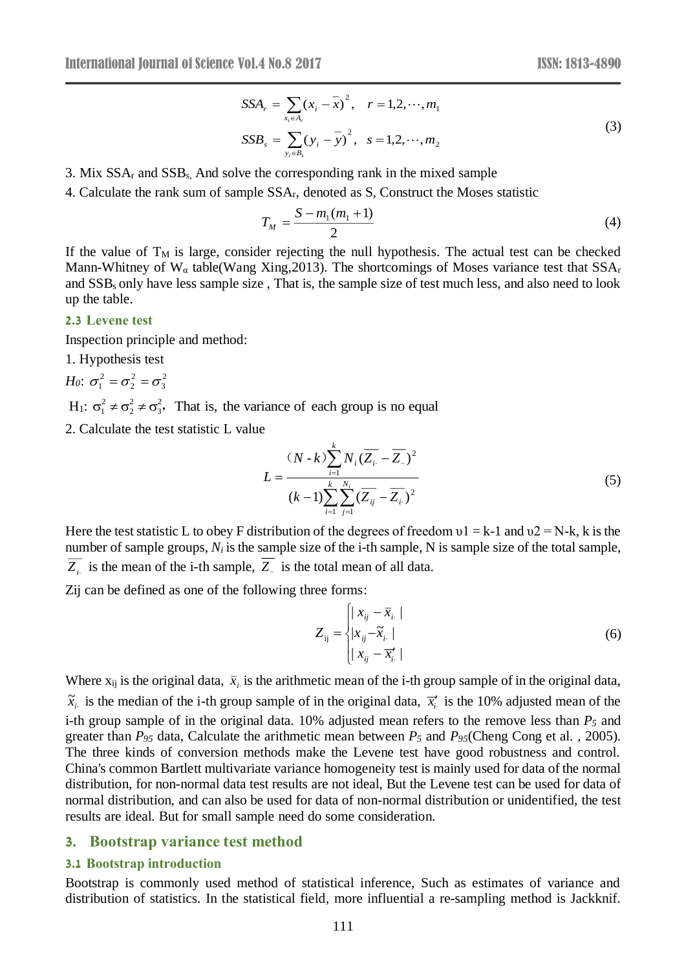$$
SSA_r = \sum_{x_i \in A_r} (x_i - \overline{x})^2, \quad r = 1, 2, \dots, m_1
$$
  
\n
$$
SSB_s = \sum_{y_i \in B_s} (y_i - \overline{y})^2, \quad s = 1, 2, \dots, m_2
$$
\n(3)

3. Mix  $SSA_r$  and  $SSB_s$ . And solve the corresponding rank in the mixed sample

4. Calculate the rank sum of sample SSAr, denoted as S, Construct the Moses statistic

$$
T_M = \frac{S - m_1(m_1 + 1)}{2} \tag{4}
$$

If the value of  $T_M$  is large, consider rejecting the null hypothesis. The actual test can be checked Mann-Whitney of  $W_{\alpha}$  table(Wang Xing, 2013). The shortcomings of Moses variance test that  $SSA_r$ and SSBs only have less sample size , That is, the sample size of test much less, and also need to look up the table.

#### **2.3 Levene test**

Inspection principle and method:

1. Hypothesis test

$$
H_0: \sigma_1^2 = \sigma_2^2 = \sigma_3^2
$$

H<sub>1</sub>:  $\sigma_1^2 \neq \sigma_2^2 \neq \sigma_3^2$ , That is, the variance of each group is no equal

2. Calculate the test statistic L value

$$
L = \frac{(N-k)\sum_{i=1}^{k} N_i (\overline{Z_i} - \overline{Z_n})^2}{(k-1)\sum_{i=1}^{k} \sum_{j=1}^{N_i} (\overline{Z_{ij}} - \overline{Z_i})^2}
$$
(5)

Here the test statistic L to obey F distribution of the degrees of freedom  $\nu$ 1 = k-1 and  $\nu$ 2 = N-k, k is the number of sample groups, *N<sup>i</sup>* is the sample size of the i-th sample, N is sample size of the total sample,  $Z_i$  is the mean of the i-th sample,  $Z_i$  is the total mean of all data.

Zij can be defined as one of the following three forms:

$$
Z_{ij} = \begin{cases} |x_{ij} - \overline{x}_{i.}| \\ |x_{ij} - \overline{x}_{i.}| \\ |x_{ij} - \overline{x}_{i.}|\end{cases}
$$
 (6)

Where  $x_{ij}$  is the original data,  $\bar{x}_i$  is the arithmetic mean of the i-th group sample of in the original data,  $\tilde{x}_i$  is the median of the i-th group sample of in the original data,  $\bar{x}_i$  is the 10% adjusted mean of the i-th group sample of in the original data. 10% adjusted mean refers to the remove less than *P<sup>5</sup>* and greater than *P<sup>95</sup>* data, Calculate the arithmetic mean between *P<sup>5</sup>* and *P95*(Cheng Cong et al. , 2005). The three kinds of conversion methods make the Levene test have good robustness and control. China's common Bartlett multivariate variance homogeneity test is mainly used for data of the normal distribution, for non-normal data test results are not ideal, But the Levene test can be used for data of normal distribution, and can also be used for data of non-normal distribution or unidentified, the test results are ideal. But for small sample need do some consideration.

#### **3. Bootstrap variance test method**

#### **3.1 Bootstrap introduction**

Bootstrap is commonly used method of statistical inference, Such as estimates of variance and distribution of statistics. In the statistical field, more influential a re-sampling method is Jackknif.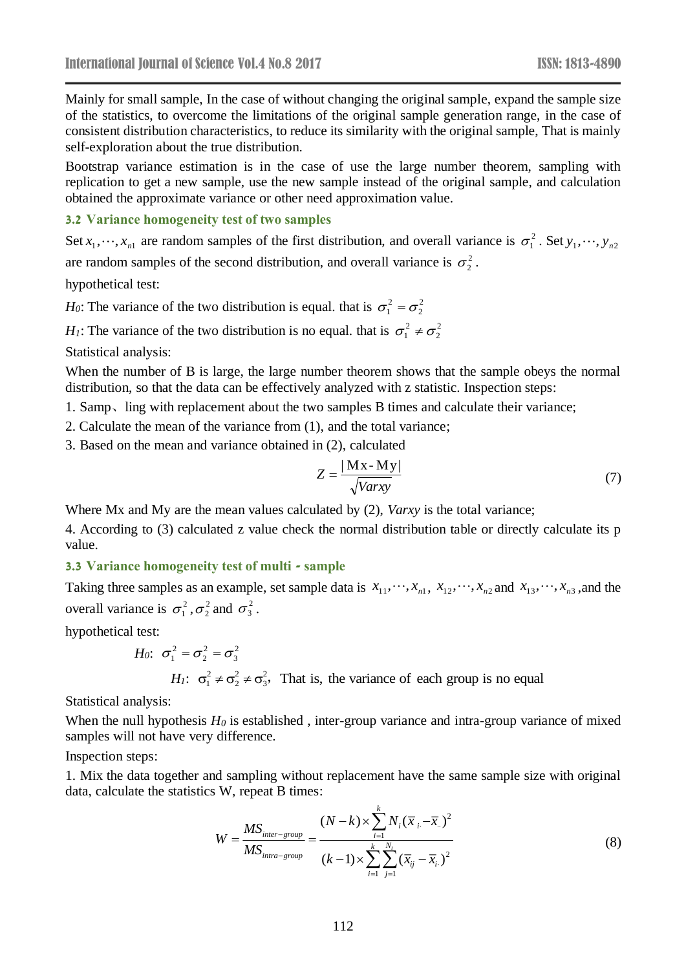Mainly for small sample, In the case of without changing the original sample, expand the sample size of the statistics, to overcome the limitations of the original sample generation range, in the case of consistent distribution characteristics, to reduce its similarity with the original sample, That is mainly self-exploration about the true distribution.

Bootstrap variance estimation is in the case of use the large number theorem, sampling with replication to get a new sample, use the new sample instead of the original sample, and calculation obtained the approximate variance or other need approximation value.

#### **3.2 Variance homogeneity test of two samples**

Set  $x_1, \dots, x_{n1}$  are random samples of the first distribution, and overall variance is  $\sigma_1^2$ . Set  $y_1, \dots, y_{n2}$ are random samples of the second distribution, and overall variance is  $\sigma_2^2$ .

hypothetical test:

*H*<sub>0</sub>: The variance of the two distribution is equal. that is  $\sigma_1^2 = \sigma_2^2$  $\sigma_1^2 = \sigma_2^2$ 

*H*<sub>1</sub>: The variance of the two distribution is no equal. that is  $\sigma_1^2 \neq \sigma_2^2$  $\sigma_1^2 \neq \sigma_2^2$ 

Statistical analysis:

When the number of B is large, the large number theorem shows that the sample obeys the normal distribution, so that the data can be effectively analyzed with z statistic. Inspection steps:

1. Samp、ling with replacement about the two samples B times and calculate their variance;

- 2. Calculate the mean of the variance from (1), and the total variance;
- 3. Based on the mean and variance obtained in (2), calculated

$$
Z = \frac{|\mathbf{M} \mathbf{x} - \mathbf{M} \mathbf{y}|}{\sqrt{Varxy}}
$$
(7)

Where Mx and My are the mean values calculated by (2), *Varxy* is the total variance;

4. According to (3) calculated z value check the normal distribution table or directly calculate its p value.

#### **3.3 Variance homogeneity test of multi - sample**

Taking three samples as an example, set sample data is  $x_{11}, \dots, x_{n1}$ ,  $x_{12}, \dots, x_{n2}$  and  $x_{13}, \dots, x_{n3}$ , and the overall variance is  $\sigma_1^2$ ,  $\sigma_2^2$  and  $\sigma_3^2$ .

hypothetical test:

*H*<sub>0</sub>: 
$$
\sigma_1^2 = \sigma_2^2 = \sigma_3^2
$$
  
\n*H*<sub>1</sub>:  $\sigma_1^2 \neq \sigma_2^2 \neq \sigma_3^2$ , That is, the variance of each group is no equal

Statistical analysis:

When the null hypothesis  $H_0$  is established, inter-group variance and intra-group variance of mixed samples will not have very difference.

Inspection steps:

1. Mix the data together and sampling without replacement have the same sample size with original data, calculate the statistics W, repeat B times:

$$
W = \frac{MS_{inter-group}}{MS_{intra-group}} = \frac{(N-k) \times \sum_{i=1}^{k} N_i (\bar{x}_i - \bar{x}_i)^2}{(k-1) \times \sum_{i=1}^{k} \sum_{j=1}^{N_i} (\bar{x}_{ij} - \bar{x}_i)^2}
$$
(8)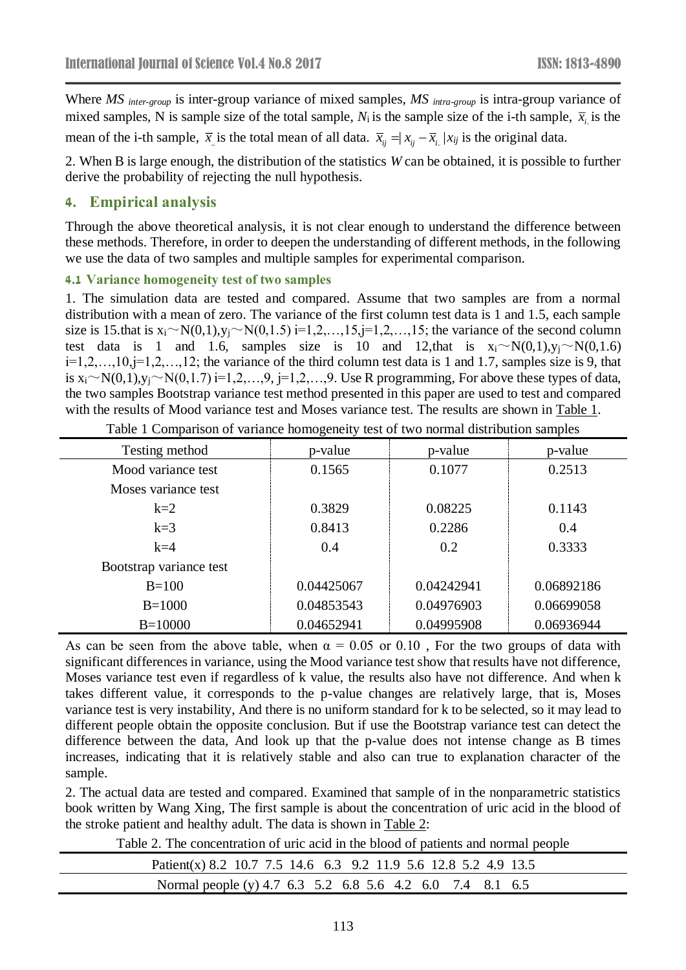Where *MS inter-group* is inter-group variance of mixed samples, *MS intra-group* is intra-group variance of mixed samples, N is sample size of the total sample,  $N_i$  is the sample size of the i-th sample,  $\bar{x}_i$  is the mean of the i-th sample,  $\bar{x}$  is the total mean of all data.  $\bar{x}_{ij} = x_{ij} - \bar{x}_{i}$   $|x_{ij}$  is the original data.

2. When B is large enough, the distribution of the statistics *W* can be obtained, it is possible to further derive the probability of rejecting the null hypothesis.

### **4. Empirical analysis**

Through the above theoretical analysis, it is not clear enough to understand the difference between these methods. Therefore, in order to deepen the understanding of different methods, in the following we use the data of two samples and multiple samples for experimental comparison.

### **4.1 Variance homogeneity test of two samples**

1. The simulation data are tested and compared. Assume that two samples are from a normal distribution with a mean of zero. The variance of the first column test data is 1 and 1.5, each sample size is 15.that is  $x_i \sim N(0,1), y_j \sim N(0,1.5)$  i=1,2,...,15, j=1,2,...,15; the variance of the second column test data is 1 and 1.6, samples size is 10 and 12, that is  $x_i \sim N(0,1)$ ,  $y_i \sim N(0,1.6)$  $i=1,2,\ldots,10, j=1,2,\ldots,12$ ; the variance of the third column test data is 1 and 1.7, samples size is 9, that is  $x_i \sim N(0,1), y_j \sim N(0,1.7)$  i=1,2,…,9, j=1,2,…,9. Use R programming, For above these types of data, the two samples Bootstrap variance test method presented in this paper are used to test and compared with the results of Mood variance test and Moses variance test. The results are shown in Table 1.

| Testing method          | p-value    | p-value    | p-value    |
|-------------------------|------------|------------|------------|
| Mood variance test      | 0.1565     | 0.1077     | 0.2513     |
| Moses variance test     |            |            |            |
| $k=2$                   | 0.3829     | 0.08225    | 0.1143     |
| $k=3$                   | 0.8413     | 0.2286     | 0.4        |
| $k=4$                   | 0.4        | 0.2        | 0.3333     |
| Bootstrap variance test |            |            |            |
| $B=100$                 | 0.04425067 | 0.04242941 | 0.06892186 |
| $B=1000$                | 0.04853543 | 0.04976903 | 0.06699058 |
| $B=10000$               | 0.04652941 | 0.04995908 | 0.06936944 |

Table 1 Comparison of variance homogeneity test of two normal distribution samples

As can be seen from the above table, when  $\alpha = 0.05$  or 0.10, For the two groups of data with significant differences in variance, using the Mood variance test show that results have not difference, Moses variance test even if regardless of k value, the results also have not difference. And when k takes different value, it corresponds to the p-value changes are relatively large, that is, Moses variance test is very instability, And there is no uniform standard for k to be selected, so it may lead to different people obtain the opposite conclusion. But if use the Bootstrap variance test can detect the difference between the data, And look up that the p-value does not intense change as B times increases, indicating that it is relatively stable and also can true to explanation character of the sample.

2. The actual data are tested and compared. Examined that sample of in the nonparametric statistics book written by Wang Xing, The first sample is about the concentration of uric acid in the blood of the stroke patient and healthy adult. The data is shown in Table 2:

Table 2. The concentration of uric acid in the blood of patients and normal people

| Patient(x) 8.2 10.7 7.5 14.6 6.3 9.2 11.9 5.6 12.8 5.2 4.9 13.5 |  |
|-----------------------------------------------------------------|--|
| Normal people (y) 4.7 6.3 5.2 6.8 5.6 4.2 6.0 7.4 8.1 6.5       |  |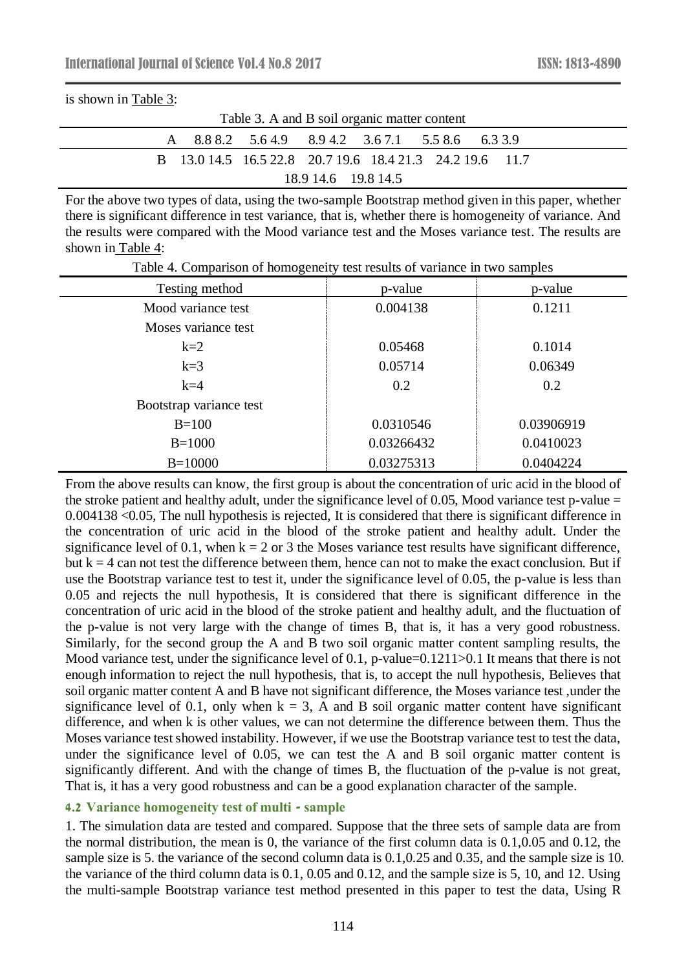|--|

| Table 3. A and B soil organic matter content |                                                          |  |  |  |  |  |  |
|----------------------------------------------|----------------------------------------------------------|--|--|--|--|--|--|
|                                              | A 8.8 8.2 5.6 4.9 8.9 4.2 3.6 7.1 5.5 8.6 6.3 3.9        |  |  |  |  |  |  |
|                                              | B 13.0 14.5 16.5 22.8 20.7 19.6 18.4 21.3 24.2 19.6 11.7 |  |  |  |  |  |  |
| 18.9 14.6 19.8 14.5                          |                                                          |  |  |  |  |  |  |

For the above two types of data, using the two-sample Bootstrap method given in this paper, whether there is significant difference in test variance, that is, whether there is homogeneity of variance. And the results were compared with the Mood variance test and the Moses variance test. The results are shown in Table 4:

| Testing method          | p-value    | p-value    |
|-------------------------|------------|------------|
| Mood variance test      | 0.004138   | 0.1211     |
| Moses variance test     |            |            |
| $k=2$                   | 0.05468    | 0.1014     |
| $k=3$                   | 0.05714    | 0.06349    |
| $k=4$                   | 0.2        | 0.2        |
| Bootstrap variance test |            |            |
| $B=100$                 | 0.0310546  | 0.03906919 |
| $B=1000$                | 0.03266432 | 0.0410023  |
| $B=10000$               | 0.03275313 | 0.0404224  |

Table 4. Comparison of homogeneity test results of variance in two samples

From the above results can know, the first group is about the concentration of uric acid in the blood of the stroke patient and healthy adult, under the significance level of 0.05, Mood variance test p-value  $=$ 0.004138 <0.05, The null hypothesis is rejected, It is considered that there is significant difference in the concentration of uric acid in the blood of the stroke patient and healthy adult. Under the significance level of 0.1, when  $k = 2$  or 3 the Moses variance test results have significant difference, but  $k = 4$  can not test the difference between them, hence can not to make the exact conclusion. But if use the Bootstrap variance test to test it, under the significance level of 0.05, the p-value is less than 0.05 and rejects the null hypothesis, It is considered that there is significant difference in the concentration of uric acid in the blood of the stroke patient and healthy adult, and the fluctuation of the p-value is not very large with the change of times B, that is, it has a very good robustness. Similarly, for the second group the A and B two soil organic matter content sampling results, the Mood variance test, under the significance level of 0.1, p-value=0.1211>0.1 It means that there is not enough information to reject the null hypothesis, that is, to accept the null hypothesis, Believes that soil organic matter content A and B have not significant difference, the Moses variance test ,under the significance level of 0.1, only when  $k = 3$ , A and B soil organic matter content have significant difference, and when k is other values, we can not determine the difference between them. Thus the Moses variance test showed instability. However, if we use the Bootstrap variance test to test the data, under the significance level of 0.05, we can test the A and B soil organic matter content is significantly different. And with the change of times B, the fluctuation of the p-value is not great, That is, it has a very good robustness and can be a good explanation character of the sample.

#### **4.2 Variance homogeneity test of multi - sample**

1. The simulation data are tested and compared. Suppose that the three sets of sample data are from the normal distribution, the mean is 0, the variance of the first column data is 0.1,0.05 and 0.12, the sample size is 5. the variance of the second column data is 0.1,0.25 and 0.35, and the sample size is 10. the variance of the third column data is 0.1, 0.05 and 0.12, and the sample size is 5, 10, and 12. Using the multi-sample Bootstrap variance test method presented in this paper to test the data, Using R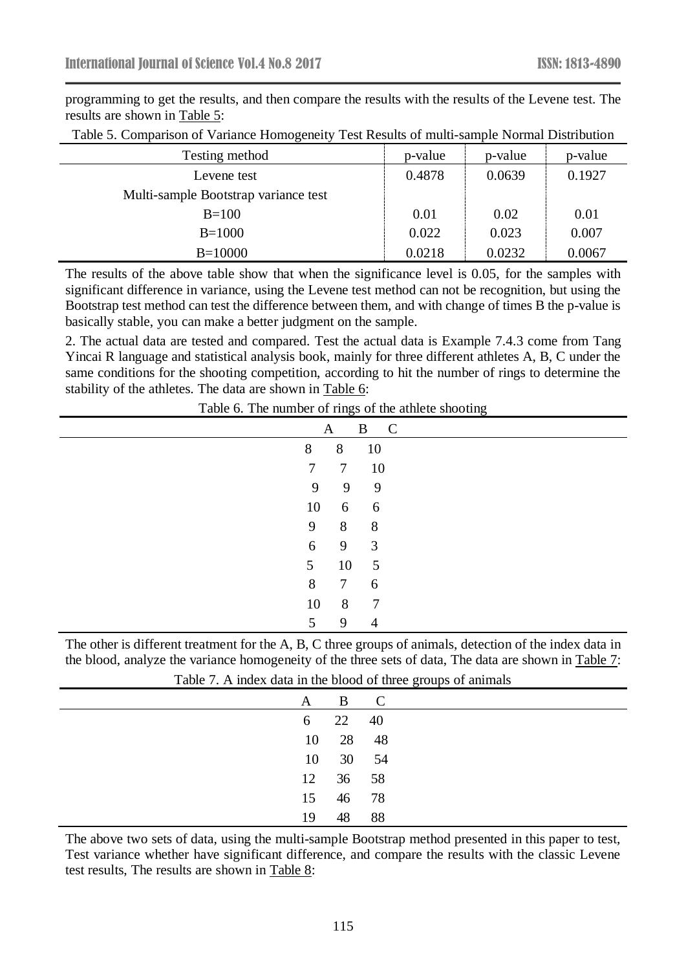programming to get the results, and then compare the results with the results of the Levene test. The results are shown in Table 5:

| Testing method                       | p-value | p-value | p-value |
|--------------------------------------|---------|---------|---------|
| Levene test                          | 0.4878  | 0.0639  | 0.1927  |
| Multi-sample Bootstrap variance test |         |         |         |
| $B=100$                              | 0.01    | 0.02    | 0.01    |
| $B=1000$                             | 0.022   | 0.023   | 0.007   |
| $B=10000$                            | 0.0218  | 0.0232  | 0.0067  |

Table 5. Comparison of Variance Homogeneity Test Results of multi-sample Normal Distribution

The results of the above table show that when the significance level is 0.05, for the samples with significant difference in variance, using the Levene test method can not be recognition, but using the Bootstrap test method can test the difference between them, and with change of times B the p-value is basically stable, you can make a better judgment on the sample.

2. The actual data are tested and compared. Test the actual data is Example 7.4.3 come from Tang Yincai R language and statistical analysis book, mainly for three different athletes A, B, C under the same conditions for the shooting competition, according to hit the number of rings to determine the stability of the athletes. The data are shown in Table 6:

Table 6. The number of rings of the athlete shooting

|                 | A               | B C                     |  |
|-----------------|-----------------|-------------------------|--|
| 8               | 8               | - 10                    |  |
| $7\overline{ }$ | 7 10            |                         |  |
| 9               | $\overline{9}$  | $\overline{9}$          |  |
| 10              | 6               | $6\overline{6}$         |  |
| 9               | 8 <sup>8</sup>  | 8 <sup>8</sup>          |  |
| 6               | 9               | $\overline{\mathbf{3}}$ |  |
| 5 <sup>5</sup>  | 10              | $5\overline{)}$         |  |
| 8               | $7\overline{ }$ | 6                       |  |
| 10              | 8               | $\overline{7}$          |  |
| 5               | 9               | $\overline{4}$          |  |

The other is different treatment for the A, B, C three groups of animals, detection of the index data in the blood, analyze the variance homogeneity of the three sets of data, The data are shown in Table 7:

|    |       |      | $\tilde{\phantom{a}}$<br>$\overline{\phantom{a}}$ |
|----|-------|------|---------------------------------------------------|
| A  | B C   |      |                                                   |
| 6  | 22 40 |      |                                                   |
| 10 | 28 48 |      |                                                   |
| 10 | 30 54 |      |                                                   |
| 12 | 36 58 |      |                                                   |
| 15 | 46 78 |      |                                                   |
| 19 | 48    | - 88 |                                                   |

Table 7. A index data in the blood of three groups of animals

The above two sets of data, using the multi-sample Bootstrap method presented in this paper to test, Test variance whether have significant difference, and compare the results with the classic Levene test results, The results are shown in Table 8: